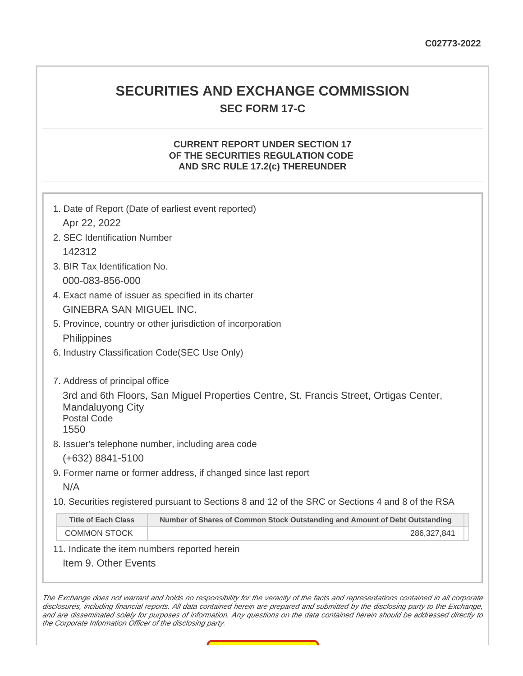## **SECURITIES AND EXCHANGE COMMISSION SEC FORM 17-C**

### **CURRENT REPORT UNDER SECTION 17 OF THE SECURITIES REGULATION CODE AND SRC RULE 17.2(c) THEREUNDER**

| 1. Date of Report (Date of earliest event reported)         |                                                                                                   |  |
|-------------------------------------------------------------|---------------------------------------------------------------------------------------------------|--|
| Apr 22, 2022                                                |                                                                                                   |  |
| 2. SEC Identification Number                                |                                                                                                   |  |
| 142312                                                      |                                                                                                   |  |
| 3. BIR Tax Identification No.                               |                                                                                                   |  |
| 000-083-856-000                                             |                                                                                                   |  |
| 4. Exact name of issuer as specified in its charter         |                                                                                                   |  |
| <b>GINEBRA SAN MIGUEL INC.</b>                              |                                                                                                   |  |
| 5. Province, country or other jurisdiction of incorporation |                                                                                                   |  |
| Philippines                                                 |                                                                                                   |  |
| 6. Industry Classification Code(SEC Use Only)               |                                                                                                   |  |
|                                                             |                                                                                                   |  |
| 7. Address of principal office                              |                                                                                                   |  |
| <b>Mandaluyong City</b><br><b>Postal Code</b><br>1550       | 3rd and 6th Floors, San Miguel Properties Centre, St. Francis Street, Ortigas Center,             |  |
| 8. Issuer's telephone number, including area code           |                                                                                                   |  |
| $(+632)$ 8841-5100                                          |                                                                                                   |  |
|                                                             | 9. Former name or former address, if changed since last report                                    |  |
| N/A                                                         |                                                                                                   |  |
|                                                             | 10. Securities registered pursuant to Sections 8 and 12 of the SRC or Sections 4 and 8 of the RSA |  |
| <b>Title of Each Class</b>                                  | Number of Shares of Common Stock Outstanding and Amount of Debt Outstanding                       |  |
| <b>COMMON STOCK</b>                                         | 286,327,841                                                                                       |  |
| 11. Indicate the item numbers reported herein               |                                                                                                   |  |
| Item 9. Other Events                                        |                                                                                                   |  |
|                                                             |                                                                                                   |  |

The Exchange does not warrant and holds no responsibility for the veracity of the facts and representations contained in all corporate disclosures, including financial reports. All data contained herein are prepared and submitted by the disclosing party to the Exchange, and are disseminated solely for purposes of information. Any questions on the data contained herein should be addressed directly to the Corporate Information Officer of the disclosing party.

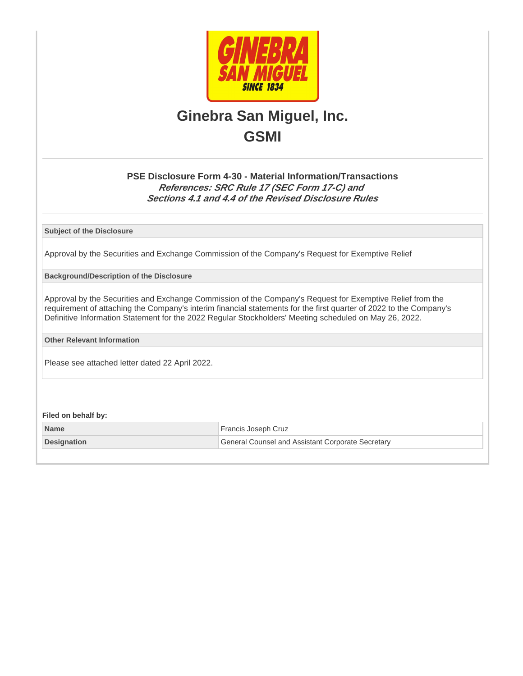

# **Ginebra San Miguel, Inc. GSMI**

## **PSE Disclosure Form 4-30 - Material Information/Transactions References: SRC Rule 17 (SEC Form 17-C) and Sections 4.1 and 4.4 of the Revised Disclosure Rules**

**Subject of the Disclosure**

Approval by the Securities and Exchange Commission of the Company's Request for Exemptive Relief

**Background/Description of the Disclosure**

Approval by the Securities and Exchange Commission of the Company's Request for Exemptive Relief from the requirement of attaching the Company's interim financial statements for the first quarter of 2022 to the Company's Definitive Information Statement for the 2022 Regular Stockholders' Meeting scheduled on May 26, 2022.

**Other Relevant Information**

Please see attached letter dated 22 April 2022.

**Filed on behalf by:**

| <b>Name</b>        | <sup>1</sup> Francis Joseph Cruz                  |
|--------------------|---------------------------------------------------|
| <b>Designation</b> | General Counsel and Assistant Corporate Secretary |